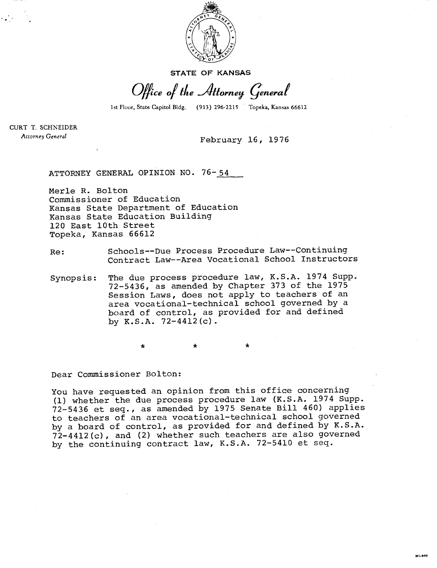

**STATE OF KANSAS** 

Office of the Attorney General

1st Floor, State Capitol Bldg. (913) 296-2215 Topeka, Kansas 66612

ut.944

CURT T. SCHNEIDER Attorney General

## February 16, 1976

ATTORNEY GENERAL OPINION NO. 76-54

Merle R. Bolton Commissioner of Education Kansas State Department of Education Kansas State Education Building 120 East 10th Street Topeka, Kansas 66612

## Re: Schools--Due Process Procedure Law--Continuing Contract Law--Area Vocational School Instructors

Synopsis: The due process procedure law, K.S.A. 1974 Supp. 72-5436, as amended by Chapter 373 of the 1975 Session Laws, does not apply to teachers of an area vocational-technical school governed by a board of control, as provided for and defined by  $K.S.A. 72-4412(c)$ .

Dear Commissioner Bolton:

You have requested an opinion from this office concerning (1) whether the due process procedure law (K.S.A. 1974 Supp. 72-5436 et seq., as amended by 1975 Senate Bill 460) applies to teachers of an area vocational-technical school governed by a board of control, as provided for and defined by K.S.A. 72-4412(c), and (2) whether such teachers are also governed by the continuing contract law, K.S.A. 72-5410 et seq.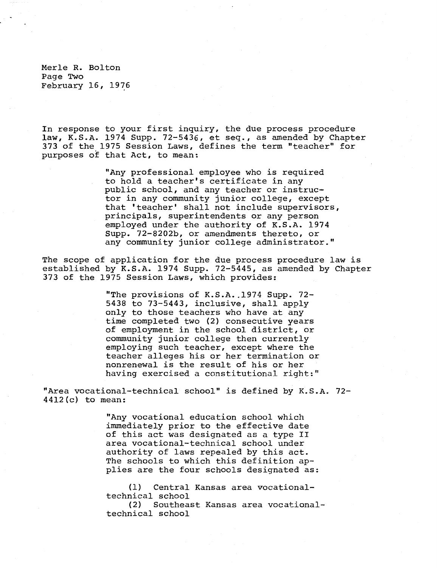Merle R. Bolton Page Two February 16, 1976

In response to your first inquiry, the due process procedure law, K.S.A. 1974 Supp. 72-5436, et seq., as amended by Chapter 373 of the 1975 Session Laws, defines the term "teacher" for purposes of that Act, to mean:

> "Any professional employee who is required to hold a teacher's certificate in any public school, and any teacher or instructor in any community junior college, except that 'teacher' shall not include supervisors, principals, superintendents or any person employed under the authority of K.S.A. 1974 Supp. 72-8202b, or amendments thereto, or any community junior college administrator."

The scope of application for the due process procedure law is established by K.S.A. 1974 Supp. 72-5445, as amended by Chapter 373 of the 1975 Session Laws, which provides:

> "The provisions of K.S.A. 1974 Supp. 72- 5438 to 73-5443, inclusive, shall apply only to those teachers who have at any time completed two (2) consecutive years of employment in the school district, or community junior college then currently employing such teacher, except where the teacher alleges his or her termination or nonrenewal is the result of his or her having exercised a constitutional right:"

"Area vocational-technical school" is defined by K.S.A. 72- 4412(c) to mean:

> "Any vocational education school which immediately prior to the effective date of this act was designated as a type II area vocational-technical school under authority of laws repealed by this act. The schools to which this definition applies are the four schools designated as:

(1) Central Kansas area vocationaltechnical school

(2) Southeast Kansas area vocationaltechnical school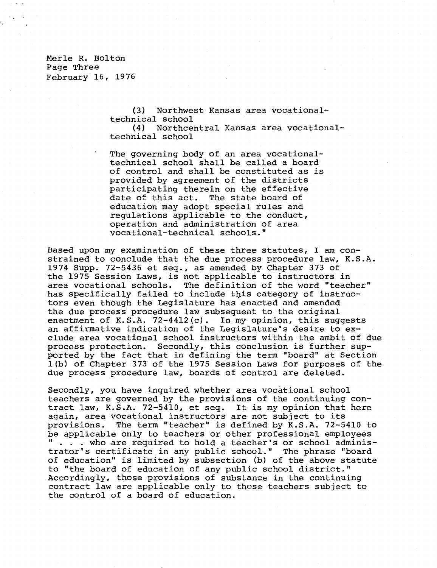Merle R. Bolton Page Three February  $16$ , 1976

> (3) Northwest Kansas area vocationaltechnical school<br>(4) Northce

(4) Northcentral Kansas area vocationaltechnical school

The governing body of an area vocationaltechnical school shall be called a board of control and shall be constituted as is provided by agreement of the districts participating therein on the effective<br>date of this act. The state board of The state board of education may adopt special rules and regulations applicable to the conduct, operation and administration of area vocational-technical schools."

Based upon my examination of these three statutes, I am constrained to conclude that the due process procedure law, K.S.A. 1974 Supp. 72-5436 et seq., as amended by Chapter 373 of the 1975 Session Laws, is not applicable to instructors in area vocational schools. The definition of the word "teacher" has specifically failed to include this category of instructors even though the Legislature has enacted and amended the due process procedure law subsequent to the original enactment of K.S.A.  $72-4412(c)$ . In my opinion, this suggests an affirmative indication of the Legislature's desire to exclude area vocational school instructors within the ambit of due process protection. Secondly, this conclusion is further supported by the fact that in defining the term "board" at Section 1(b) of Chapter 373 of the 1975 Session Laws for purposes of the due process procedure law, boards of control are deleted.

Secondly, you have inquired whether area vocational school teachers are governed by the provisions of the continuing contract law, K.S.A. 72-5410, et seq. It is my opinion that here again, area vocational instructors are not subject to its provisions. The term "teacher" is defined by K.S.A. 72-5410 to be applicable only to teachers or other professional employees . who are required to hold a teacher's or school administrator's certificate in any public school." The phrase "board of education" is limited by subsection (b) of the above statute to "the board of education of any public school district." Accordingly, those provisions of substance in the continuing contract law are applicable only to those teachers subject to the control of a board of education.